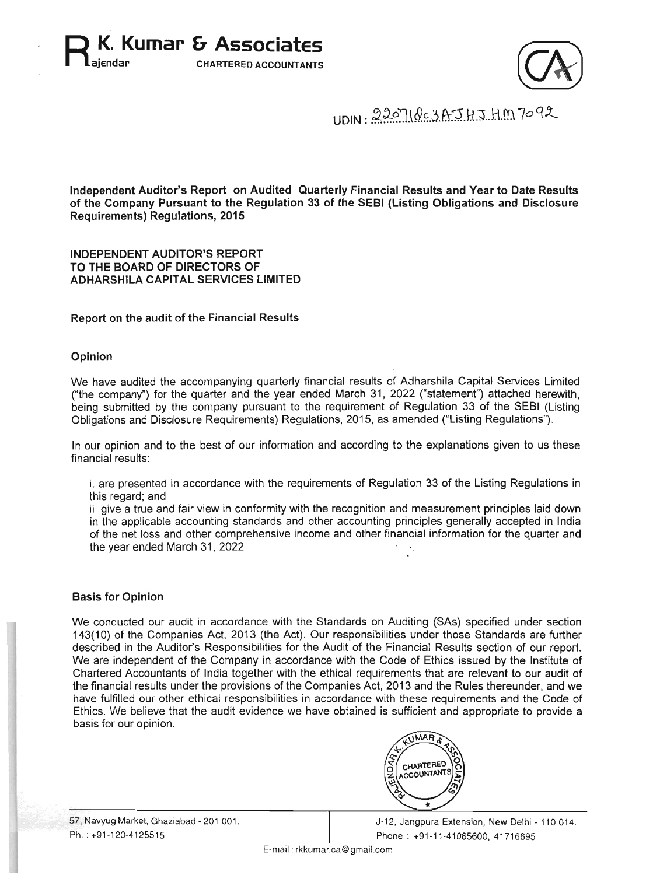R K. **Kumar & Associates CHARTERED ACCOUNTANTS** 



UDIN: 22071003AJHJHM7092

Independent Auditor's Report on Audited Quarterly Financial Results and Year to Date Results of the Company Pursuant to the Regulation 33 of the SEBI (Listing Obligations and Disclosure Requirements) Regulations, 2015

INDEPENDENT AUDITOR'S REPORT TO THE BOARD OF DIRECTORS OF ADHARSHILA CAPITAL SERVICES LIMITED

Report on the audit of the Financial Results

### Opinion

We have audited the accompanying quarterly financial results of Adharshila Capital Services Limited ("the company") for the quarter and the year ended March 31, 2022 ("statement") attached herewith, being submitted by the company pursuant to the requirement of Regulation 33 of the SEBI (Listing Obligations and Disclosure Requirements) Regulations, 2015, as amended ("listing Regulations").

In our opinion and to the best of our information and according to the explanations given to us these financial results:

i. are presented in accordance with the requirements of Regulation 33 of the listing Regulations in this regard; and

ii. give a true and fair view in conformity with the recognition and measurement principles laid down in the applicable accounting standards and other accounting principles generally accepted in India of the net loss and other comprehensive income and other financial information for the quarter and the year ended March 31, 2022

### Basis for Opinion

We conducted our audit in accordance with the Standards on Auditing (SAs) specified under section 143(10) of the Companies Act, 2013 (the Act). Our responsibilities under those Standards are further described in the Auditor's Responsibilities for the Audit of the Financial Results section of our report. We are independent of the Company in accordance with the Code of Ethics issued by the Institute of Chartered Accountants of India together with the ethical requirements that are relevant to our audit of the financial results under the provisions of the Companies Act, 2013 and the Rules thereunder, and we have fulfilled our other ethical responsibilities in accordance with these requirements and the Code of Ethics. We believe that the audit evidence we have obtained is sufficient and appropriate to provide a basis for our opinion.



57, Navyug Market, Ghaziabad - 201 001. Ph. : +91-120-4125515

J-12, Jangpura Extension, New Delhi - 110 014. Phone: +91-11-41065600, 41716695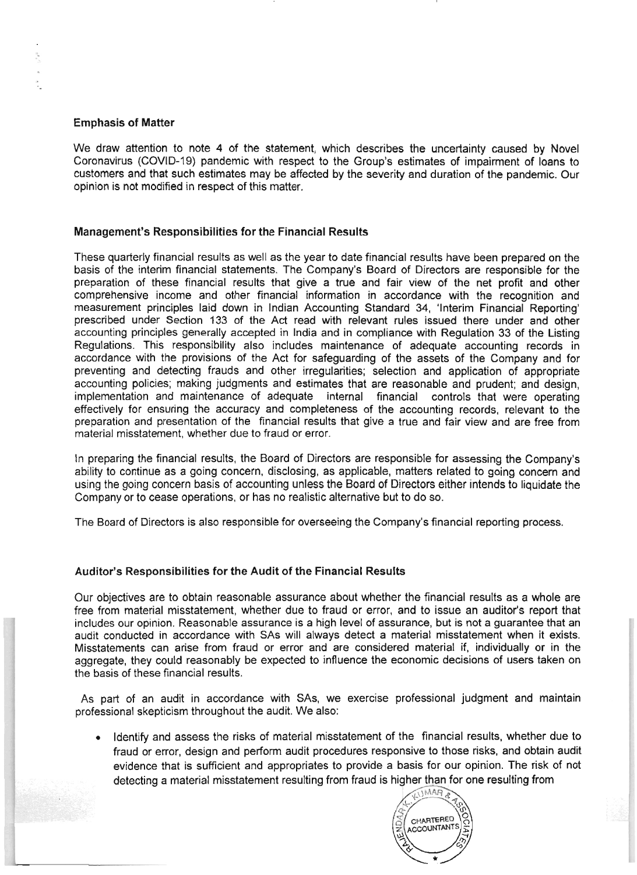#### Emphasis of Matter

We draw attention to note 4 of the statement, which describes the uncertainty caused by Novel Coronavirus (COVID-19) pandemic with respect to the Group's estimates of impairment of loans to customers and that such estimates may be affected by the severity and duration of the pandemic. Our opinion is not modified in respect of this matter.

## Management's Responsibilities for the Financial Results

These quarterly financial results as well as the year to date financial results have been prepared on the basis of the interim financial statements. The Company's Board of Directors are responsible for the preparation of these financial results that give a true and fair view of the net profit and other comprehensive income and other financial information in accordance with the recognition and measurement principles laid down in Indian Accounting Standard 34, 'Interim Financial Reporting' prescribed under Section 133 of the Act read with relevant rules issued there under and other accounting principles generally accepted in India and in compliance with Regulation 33 of the Listing Regulations. This responsibility also includes maintenance of adequate accounting records in accordance with the provisions of the Act for safeguarding of the assets of the Company and for preventing and detecting frauds and other irregularities; selection and application of appropriate accounting policies; making judgments and estimates that are reasonable and prudent; and design, implementation and maintenance of adequate internal financial controls that were operating effectively for ensuring the accuracy and completeness of the accounting records, relevant to the preparation and presentation of the financial results that give a true and fair view and are free from material misstatement, whether due to fraud or error.

In preparing the financial results, the Board of Directors are responsible for assessing the Company's ability to continue as a going concern, disclosing, as applicable, matters related to going concern and using the going concern basis of accounting unless the Board of Directors either intends to liquidate the Company or to cease operations, or has no realistic alternative but to do so.

The Board of Directors is also responsible for overseeing the Company's financial reporting process.

### Auditor's Responsibilities for the Audit of the Financial Results

Our objectives are to obtain reasonable assurance about whether the financial results as a whole are free from material misstatement, whether due to fraud or error, and to issue an auditor's report that includes our opinion. Reasonable assurance is a high level of assurance, but is not a guarantee that an audit conducted in accordance with SAs will always detect a material misstatement when it exists. Misstatements can arise from fraud or error and are considered material if, individually or in the aggregate, they could reasonably be expected to influence the economic decisions of users taken on the basis of these financial results.

As part of an audit in accordance with SAs, we exercise professional judgment and maintain professional skepticism throughout the audit. We also:

• Identify and assess the risks of material misstatement of the financial results, whether due to fraud or error, design and perform audit procedures responsive to those risks, and obtain audit evidence that is sufficient and appropriates to provide a basis for our opinion. The risk of not detecting a material misstatement resulting from fraud is higher than for one resulting from

 $MAR$ CHARTEREO Z ACCOUNTANTS *:i;*  $\sqrt{3}$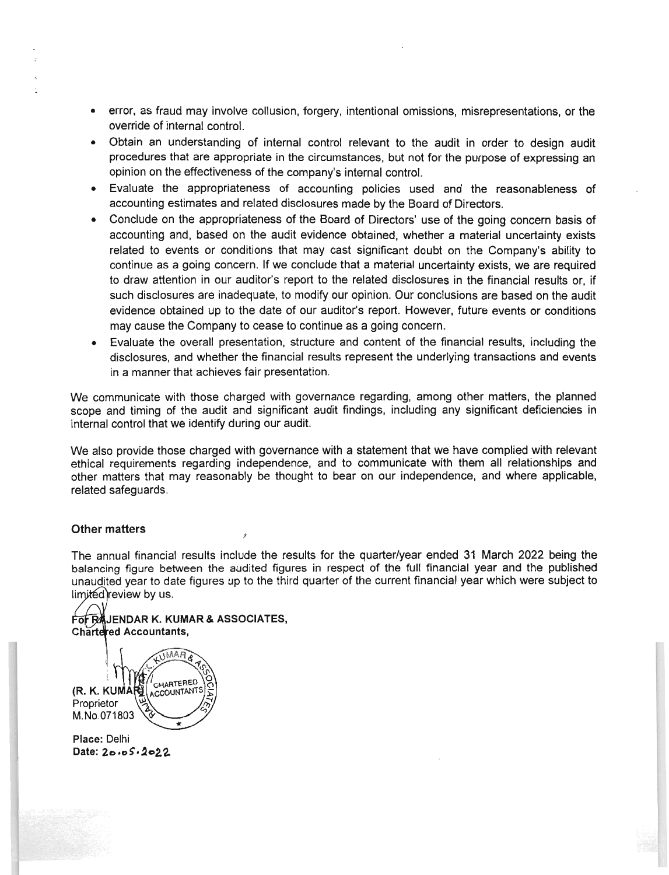- error, as fraud may involve collusion, forgery, intentional omissions, misrepresentations, or the override of internal control.
- Obtain an understanding of internal control relevant to the audit in order to design audit procedures that are appropriate in the circumstances, but not for the purpose of expressing an opinion on the effectiveness of the company's internal control.
- Evaluate the appropriateness of accounting policies used and the reasonableness of accounting estimates and related disclosures made by the Board of Directors.
- Conclude on the appropriateness of the Board of Directors' use of the going concern basis of accounting and, based on the audit evidence obtained, whether a material uncertainty exists related to events or conditions that may cast significant doubt on the Company's ability to continue as a going concern. If we conclude that a material uncertainty exists, we are required to draw attention in our auditor's report to the related disclosures in the financial results or, if such disclosures are inadequate, to modify our opinion. Our conclusions are based on the audit evidence obtained up to the date of our auditor's report. However, future events or conditions may cause the Company to cease to continue as a going concern.
- Evaluate the overall presentation, structure and content of the financial results, including the disclosures, and whether the financial results represent the underlying transactions and events in a manner that achieves fair presentation.

We communicate with those charged with governance regarding, among other matters, the planned scope and timing of the audit and significant audit findings, including any significant deficiencies in internal control that we identify during our audit.

We also provide those charged with governance with a statement that we have complied with relevant ethical requirements regarding independence, and to communicate with them all relationships and other matters that may reasonably be thought to bear on our independence, and where applicable, related safeguards.

#### Other matters

The annual financial results include the results for the quarter/year ended 31 March 2022 being the balancing figure between the audited figures in respect of the full financial year and the published unaudited year to date figures up to the third quarter of the current financial year which were subject to limited review by us.

FOF RAJENDAR K. KUMAR & ASSOCIATES, Chartered Accountants,

CHARTERED CCOUNTANTS (R. K. KUMA Proprietor M.No.071803

Place: Delhi Date:  $20.05.2022$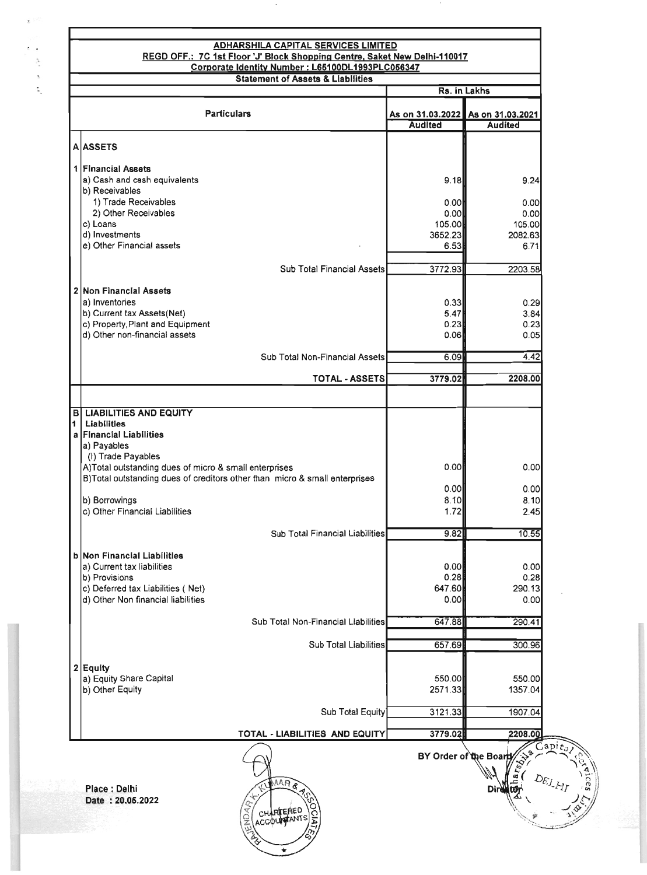$\frac{1}{2}$  $\mathcal{L}$ 

|   | <b>ADHARSHILA CAPITAL SERVICES LIMITED</b>                                                                                          |                                    |                                    |
|---|-------------------------------------------------------------------------------------------------------------------------------------|------------------------------------|------------------------------------|
|   | REGD OFF.: 7C 1st Floor 'J' Block Shopping Centre, Saket New Delhi-110017<br>Corporate Identity Number : L65100DL1993PLC056347      |                                    |                                    |
|   | <b>Statement of Assets &amp; Liabilities</b>                                                                                        |                                    | Rs. in Lakhs                       |
|   | <b>Particulars</b>                                                                                                                  | As on 31.03.2022<br><b>Audited</b> | As on 31.03.2021<br><b>Audited</b> |
|   | <b>A</b> ASSETS                                                                                                                     |                                    |                                    |
|   |                                                                                                                                     |                                    |                                    |
|   | 1 Financial Assets<br>a) Cash and cash equivalents                                                                                  | 9.18                               | 9.24                               |
|   | b) Receivables                                                                                                                      |                                    |                                    |
|   | 1) Trade Receivables<br>2) Other Receivables                                                                                        | 0.00<br>0.00                       | 0.00<br>0.00                       |
|   | c) Loans                                                                                                                            | 105.00                             | 105.00                             |
|   | d) Investments<br>e) Other Financial assets                                                                                         | 3652.23<br>6.53                    | 2082.63<br>6.71                    |
|   |                                                                                                                                     |                                    |                                    |
|   | Sub Total Financial Assets                                                                                                          | 3772.93                            | 2203.58                            |
|   | 2 Non Financial Assets                                                                                                              |                                    |                                    |
|   | a) Inventories<br>b) Current tax Assets(Net)                                                                                        | 0.33<br>5.47                       | 0.29<br>3.84                       |
|   | c) Property, Plant and Equipment                                                                                                    | 0.23                               | 0.23                               |
|   | d) Other non-financial assets                                                                                                       | 0.06                               | 0.05                               |
|   | Sub Total Non-Financial Assets                                                                                                      | 6.09                               | 4.42                               |
|   | <b>TOTAL - ASSETS</b>                                                                                                               | 3779.02                            | 2208.00                            |
|   |                                                                                                                                     |                                    |                                    |
|   | <b>B LIABILITIES AND EQUITY</b>                                                                                                     |                                    |                                    |
| 1 | Liabilities                                                                                                                         |                                    |                                    |
|   | a Financial Liabilities<br>a) Payables                                                                                              |                                    |                                    |
|   | (I) Trade Payables                                                                                                                  |                                    |                                    |
|   | A)Total outstanding dues of micro & small enterprises<br>B)Total outstanding dues of creditors other than micro & small enterprises | 0.00                               | 0.00                               |
|   |                                                                                                                                     | 0.00                               | 0.00                               |
|   | b) Borrowings<br>c) Other Financial Liabilities                                                                                     | 8.10<br>1.72                       | 8.10<br>2.45                       |
|   |                                                                                                                                     |                                    |                                    |
|   | Sub Total Financial Liabilities                                                                                                     | 9.82                               | 10.55                              |
|   | <b>b</b> Non Financial Liabilities                                                                                                  |                                    |                                    |
|   | a) Current tax liabilities<br>b) Provisions                                                                                         | 0.00<br>0.28                       | 0.00<br>0.28                       |
|   | c) Deferred tax Liabilities (Net)                                                                                                   | 647.60                             | 290.13                             |
|   | d) Other Non financial liabilities                                                                                                  | 0.00                               | 0.00                               |
|   | Sub Total Non-Financial Liabilities                                                                                                 | 647.88                             | 290.41                             |
|   | Sub Total Liabilities                                                                                                               | 657.69                             | 300.96                             |
|   |                                                                                                                                     |                                    |                                    |
|   | $2$ Equity<br>a) Equity Share Capital                                                                                               | 550.00                             | 550.00                             |
|   | b) Other Equity                                                                                                                     | 2571.33                            | 1357.04                            |
|   | Sub Total Equity                                                                                                                    | 3121.33                            | 1907.04                            |
|   |                                                                                                                                     |                                    |                                    |
|   | <b>TOTAL - LIABILITIES AND EQUITY</b>                                                                                               | 3779.02                            | 2208.00<br>Cap(t)                  |
|   | AAA A<br>Place : Delhi<br>Date: 20.05.2022<br>ENDA                                                                                  |                                    | BY Order of the Board              |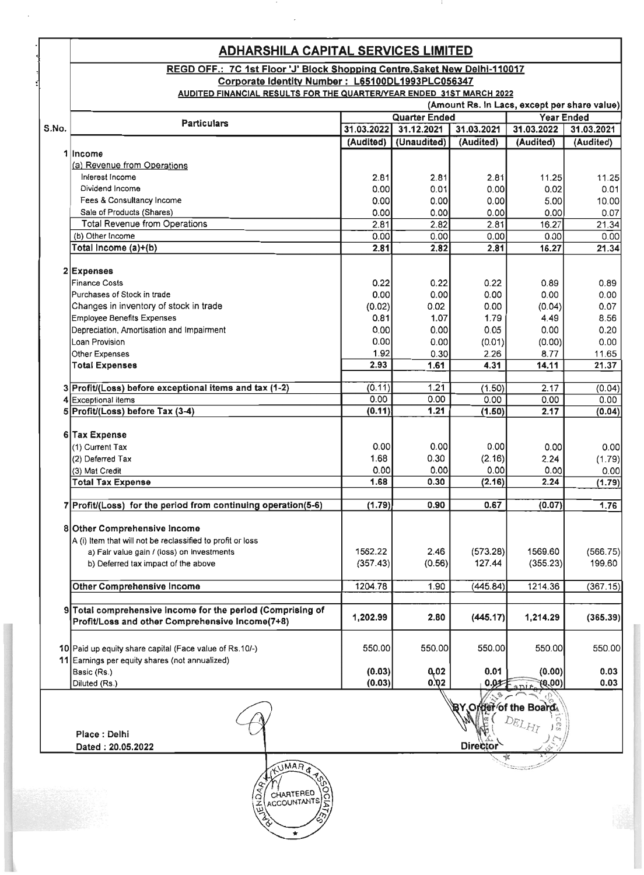|       | <b>ADHARSHILA CAPITAL SERVICES LIMITED</b>                                                                                                                                                                                                            |                        |                      |                        |                      |                        |  |  |  |
|-------|-------------------------------------------------------------------------------------------------------------------------------------------------------------------------------------------------------------------------------------------------------|------------------------|----------------------|------------------------|----------------------|------------------------|--|--|--|
|       | REGD OFF.: 7C 1st Floor 'J' Block Shopping Centre, Saket New Delhi-110017<br>Corporate Identity Number: L65100DL1993PLC056347<br>AUDITED FINANCIAL RESULTS FOR THE QUARTER/YEAR ENDED 31ST MARCH 2022<br>(Amount Rs. In Lacs, except per share value) |                        |                      |                        |                      |                        |  |  |  |
|       |                                                                                                                                                                                                                                                       |                        |                      |                        |                      |                        |  |  |  |
|       | <b>Particulars</b>                                                                                                                                                                                                                                    |                        | Quarter Ended        |                        |                      | Year Ended             |  |  |  |
| S.No. |                                                                                                                                                                                                                                                       | 31.03.2022             | 31.12.2021           | 31.03.2021             | 31.03.2022           | 31.03.2021             |  |  |  |
|       |                                                                                                                                                                                                                                                       | (Audited)              | (Unaudited)          | (Audited)              | (Audited)            | (Audited)              |  |  |  |
|       | 1 Income<br>(a) Revenue from Operations                                                                                                                                                                                                               |                        |                      |                        |                      |                        |  |  |  |
|       | Interest Income                                                                                                                                                                                                                                       | 2.81                   | 2.81                 | 2.81                   | 11.25                | 11.25                  |  |  |  |
|       | Dividend Income                                                                                                                                                                                                                                       | 0.00                   | 0.01                 | 0.00                   | 0.02                 | 0.01                   |  |  |  |
|       | Fees & Consultancy Income                                                                                                                                                                                                                             | 0.00                   | 0.00                 | 0.00                   | 5.00                 | 10.00                  |  |  |  |
|       | Sale of Products (Shares)                                                                                                                                                                                                                             | 0.00                   | 0.00                 | 0.00                   | 0.00                 | 0.07                   |  |  |  |
|       | <b>Total Revenue from Operations</b>                                                                                                                                                                                                                  | 2.81                   | 2.82                 | 2.81                   | 16.27                | 21.34                  |  |  |  |
|       | (b) Other Income                                                                                                                                                                                                                                      | 0.00                   | 0.00                 | 0.00                   | 0.00                 | 0.00                   |  |  |  |
|       | Total Income (a)+(b)                                                                                                                                                                                                                                  | 2.81                   | 2,82                 | 2.81                   | 16.27                | 21.34                  |  |  |  |
|       |                                                                                                                                                                                                                                                       |                        |                      |                        |                      |                        |  |  |  |
|       | 2 Expenses                                                                                                                                                                                                                                            |                        |                      |                        |                      |                        |  |  |  |
|       | <b>Finance Costs</b>                                                                                                                                                                                                                                  | 0.22                   | 0.22                 | 0.22                   | 0.89                 | 0.89                   |  |  |  |
|       | Purchases of Stock in trade                                                                                                                                                                                                                           | 0.00                   | 0.00                 | 0.00                   | 0.00                 | 0.00                   |  |  |  |
|       | Changes in inventory of stock in trade                                                                                                                                                                                                                | (0.02)                 | 0.02                 | 0.00                   | (0.04)               | 0.07                   |  |  |  |
|       | <b>Employee Benefits Expenses</b>                                                                                                                                                                                                                     | 0.81                   | 1.07                 | 1.79                   | 4.49                 | 8.56                   |  |  |  |
|       | Depreciation, Amortisation and Impairment                                                                                                                                                                                                             | 0.00                   | 0.00                 | 0.05                   | 0.00                 | 0.20                   |  |  |  |
|       | Loan Provision                                                                                                                                                                                                                                        | 0.00                   | 0.00                 | (0.01)                 | (0.00)               | 0.00                   |  |  |  |
|       | Other Expenses<br><b>Total Expenses</b>                                                                                                                                                                                                               | 1.92<br>2.93           | 0.30<br>1.61         | 2.26<br>4.31           | 8.77<br>14.11        | 11.65<br>21.37         |  |  |  |
|       |                                                                                                                                                                                                                                                       |                        |                      |                        |                      |                        |  |  |  |
|       | 3 Profit/(Loss) before exceptional items and tax (1-2)                                                                                                                                                                                                | (0.11)                 | 1.21                 | (1.50)                 | 2.17                 | (0.04)                 |  |  |  |
|       | 4 Exceptional items                                                                                                                                                                                                                                   | 0.00                   | 0.00                 | 0.00                   | 0.00                 | 0.00                   |  |  |  |
|       | 5 Profit/(Loss) before Tax (3-4)                                                                                                                                                                                                                      | (0.11)                 | 1.21                 | (1.50)                 | 2.17                 | (0.04)                 |  |  |  |
|       | 6 Tax Expense<br>(1) Current Tax<br>(2) Deferred Tax<br>(3) Mat Credit                                                                                                                                                                                | 0.00<br>1.68<br>0.00   | 0.00<br>0.30<br>0.00 | 0.00<br>(2.16)<br>0.00 | 0.00<br>2.24<br>0.00 | 0.00<br>(1.79)<br>0.00 |  |  |  |
|       | <b>Total Tax Expense</b>                                                                                                                                                                                                                              | 1.68                   | 0.30                 | (2.16)                 | 2.24                 | (1.79)                 |  |  |  |
|       | 7 Profit/(Loss) for the period from continuing operation(5-6)                                                                                                                                                                                         | (1.79)                 | 0.90                 | 0.67                   | (0.07)               | 1.76                   |  |  |  |
|       |                                                                                                                                                                                                                                                       |                        |                      |                        |                      |                        |  |  |  |
|       | 8 Other Comprehensive Income<br>A (i) Item that will not be reclassified to profit or loss<br>a) Fair value gain / (loss) on investments                                                                                                              | 1562.22                | 2.46                 | (573.28)               | 1569.60              | (566.75)               |  |  |  |
|       | b) Deferred tax impact of the above                                                                                                                                                                                                                   | (357.43)               | (0.56)               | 127.44                 | (355.23)             | 199.60                 |  |  |  |
|       |                                                                                                                                                                                                                                                       |                        |                      |                        |                      |                        |  |  |  |
|       | <b>Other Comprehensive Income</b>                                                                                                                                                                                                                     | 1204.78                | 1.90                 | (445.84)               | 1214.36              | (367.15)               |  |  |  |
|       | 9 Total comprehensive income for the period (Comprising of<br>Profit/Loss and other Comprehensive Income(7+8)                                                                                                                                         | 1,202.99               | 2.80                 | (445.17)               | 1,214.29             | (365.39)               |  |  |  |
|       | 10 Paid up equity share capital (Face value of Rs.10/-)<br>11 Earnings per equity shares (not annualized)                                                                                                                                             | 550.00                 | 550.00               | 550.00                 | 550.00               | 550.00                 |  |  |  |
|       | Basic (Rs.)                                                                                                                                                                                                                                           | (0.03)                 | 0,02                 | 0.01                   | (0.00)               | 0.03                   |  |  |  |
|       | Diluted (Rs.)                                                                                                                                                                                                                                         | (0.03)                 | 0.02                 | 0.017                  | anif(0,00)           | 0.03                   |  |  |  |
|       | Place: Delhi                                                                                                                                                                                                                                          | RY Offer of the Board. |                      |                        |                      |                        |  |  |  |
|       | Dated: 20.05.2022<br><b>UMAR</b>                                                                                                                                                                                                                      | <b>Director</b>        |                      |                        |                      |                        |  |  |  |
|       | <b>RENDA</b><br>CHARTERED<br>ACCOUNTANTS                                                                                                                                                                                                              |                        |                      |                        |                      |                        |  |  |  |

 $\bar{\phantom{a}}$ 

20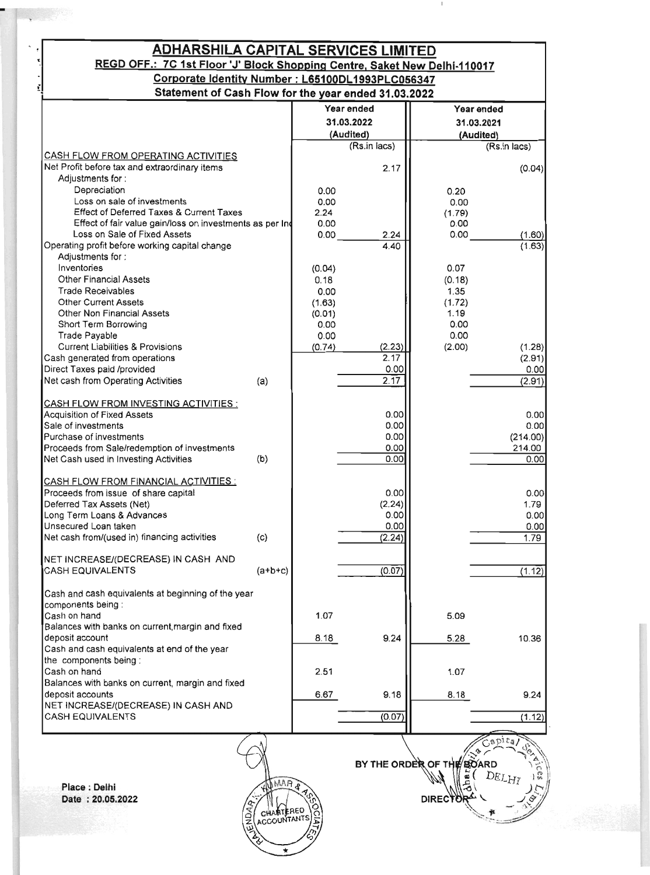# **ADHARSHILA CAPITAL SERVICES LIMITED**<br>BEGD OFF ' 70 1st Floor!" Block Sheering Out | O.I. ( ) | | REGD OFF.: *7C 1st Floor 'J' Block Shopping Centre, Saket New Delhi-110017* .<br>Corporate Identity Number : L65100DL1993PLC056347 **Corporate Identity Number : L65100DL1993PLC056347**<br>Statement of Cash Flow for the year ended 31.03.2022

|                                                                                       |           |              | var viiwod v n |            |              |
|---------------------------------------------------------------------------------------|-----------|--------------|----------------|------------|--------------|
|                                                                                       |           |              | Year ended     |            | Year ended   |
|                                                                                       |           | 31.03.2022   |                | 31.03.2021 |              |
|                                                                                       |           | (Audited)    |                |            |              |
|                                                                                       |           |              |                |            | (Audited)    |
| <b>CASH FLOW FROM OPERATING ACTIVITIES</b>                                            |           |              | (Rs.in lacs)   |            | (Rs.in lacs) |
| Net Profit before tax and extraordinary items                                         |           |              | 2.17           |            |              |
| Adjustments for:                                                                      |           |              |                |            | (0.04)       |
| Depreciation                                                                          |           |              |                |            |              |
| Loss on sale of investments                                                           |           | 0.00         |                | 0.20       |              |
| Effect of Deferred Taxes & Current Taxes                                              |           | 0.00<br>2.24 |                | 0.00       |              |
| Effect of fair value gain/loss on investments as per Ind                              |           | 0.00         |                | (1.79)     |              |
| Loss on Sale of Fixed Assets                                                          |           |              |                | 0.00       |              |
| Operating profit before working capital change                                        |           | 0.00         | 2.24<br>4.40   | 0.00       | (1.60)       |
|                                                                                       |           |              |                |            | (1.63)       |
| Adjustments for:<br>Inventories                                                       |           |              |                |            |              |
|                                                                                       |           | (0.04)       |                | 0.07       |              |
| <b>Other Financial Assets</b>                                                         |           | 0.18         |                | (0.18)     |              |
| <b>Trade Receivables</b>                                                              |           | 0.00         |                | 1.35       |              |
| <b>Other Current Assets</b>                                                           |           | (1.63)       |                | (1.72)     |              |
| <b>Other Non Financial Assets</b>                                                     |           | (0.01)       |                | 1.19       |              |
| Short Term Borrowing                                                                  |           | 0.00         |                | 0.00       |              |
| Trade Payable                                                                         |           | 0.00         |                | 0.00       |              |
| <b>Current Liabilities &amp; Provisions</b>                                           |           | (0.74)       | (2.23)         | (2.00)     | (1.28)       |
| Cash generated from operations                                                        |           |              | 2.17           |            | (2.91)       |
| Direct Taxes paid /provided                                                           |           |              | 0.00           |            | 0.00         |
| Net cash from Operating Activities                                                    | (a)       |              | 2.17           |            | (2.91)       |
| <b>CASH FLOW FROM INVESTING ACTIVITIES:</b>                                           |           |              |                |            |              |
| Acquisition of Fixed Assets                                                           |           |              | 0.00           |            | 0.00         |
| Sale of investments                                                                   |           |              | 0.00           |            |              |
| Purchase of investments                                                               |           |              |                |            | 0.00         |
|                                                                                       |           |              | 0.00           |            | (214.00)     |
| Proceeds from Sale/redemption of investments<br>Net Cash used in Investing Activities |           |              | 0.00<br>0.00   |            | 214.00       |
|                                                                                       | (b)       |              |                |            | 0.00         |
| <b>CASH FLOW FROM FINANCIAL ACTIVITIES:</b>                                           |           |              |                |            |              |
| Proceeds from issue of share capital                                                  |           |              | 0.00           |            | 0.00         |
| Deferred Tax Assets (Net)                                                             |           |              | (2.24)         |            | 1.79         |
| Long Term Loans & Advances                                                            |           |              | 0.00           |            | 0.00         |
| Unsecured Loan taken                                                                  |           |              | 0.00           |            | 0.00         |
| Net cash from/(used in) financing activities                                          | (c)       |              | (2.24)         |            | 1.79         |
|                                                                                       |           |              |                |            |              |
| NET INCREASE/(DECREASE) IN CASH AND                                                   |           |              |                |            |              |
| CASH EQUIVALENTS                                                                      | $(a+b+c)$ |              | (0.07)         |            | (1.12)       |
|                                                                                       |           |              |                |            |              |
| Cash and cash equivalents at beginning of the year                                    |           |              |                |            |              |
| components being:                                                                     |           |              |                |            |              |
| Cash on hand<br>Balances with banks on current, margin and fixed                      |           | 1.07         |                | 5.09       |              |
|                                                                                       |           |              |                |            |              |
| deposit account                                                                       |           | 8.18         | 9.24           | 5.28       | 10.36        |
| Cash and cash equivalents at end of the year                                          |           |              |                |            |              |
| the components being:                                                                 |           |              |                |            |              |
| Cash on hand                                                                          |           | 2.51         |                | 1.07       |              |
| Balances with banks on current, margin and fixed                                      |           |              |                |            |              |
| deposit accounts                                                                      |           | 6.67         | 9.18           | 8.18       | 9.24         |
| NET INCREASE/(DECREASE) IN CASH AND                                                   |           |              |                |            |              |
| CASH EQUIVALENTS                                                                      |           |              | (0.07)         |            | (1.12)       |
|                                                                                       |           |              |                |            |              |

**Place: Delhi Date : 20.05.2022**



**BY THE ORDER OF THE BOARD** 

**DIREC**

V 1

DELH